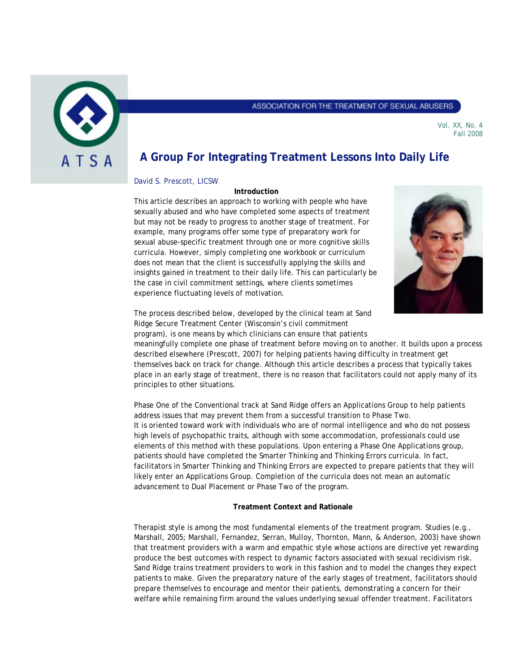

#### ASSOCIATION FOR THE TREATMENT OF SEXUAL ABUSERS

Vol. XX, No. 4 Fall 2008

# **A Group For Integrating Treatment Lessons Into Daily Life**

## David S. Prescott, LICSW

## **Introduction**

This article describes an approach to working with people who have sexually abused and who have completed some aspects of treatment but may not be ready to progress to another stage of treatment. For example, many programs offer some type of preparatory work for sexual abuse-specific treatment through one or more cognitive skills curricula. However, simply completing one workbook or curriculum does not mean that the client is successfully applying the skills and insights gained in treatment to their daily life. This can particularly be the case in civil commitment settings, where clients sometimes experience fluctuating levels of motivation.



The process described below, developed by the clinical team at Sand Ridge Secure Treatment Center (Wisconsin's civil commitment program), is one means by which clinicians can ensure that patients

meaningfully complete one phase of treatment before moving on to another. It builds upon a process described elsewhere (Prescott, 2007) for helping patients having difficulty in treatment get themselves back on track for change. Although this article describes a process that typically takes place in an early stage of treatment, there is no reason that facilitators could not apply many of its principles to other situations.

Phase One of the Conventional track at Sand Ridge offers an Applications Group to help patients address issues that may prevent them from a successful transition to Phase Two. It is oriented toward work with individuals who are of normal intelligence and who do not possess high levels of psychopathic traits, although with some accommodation, professionals could use elements of this method with these populations. Upon entering a Phase One Applications group, patients should have completed the Smarter Thinking and Thinking Errors curricula. In fact, facilitators in Smarter Thinking and Thinking Errors are expected to prepare patients that they will likely enter an Applications Group. Completion of the curricula does not mean an automatic advancement to Dual Placement or Phase Two of the program.

## **Treatment Context and Rationale**

Therapist style is among the most fundamental elements of the treatment program. Studies (e.g., Marshall, 2005; Marshall, Fernandez, Serran, Mulloy, Thornton, Mann, & Anderson, 2003) have shown that treatment providers with a warm and empathic style whose actions are directive yet rewarding produce the best outcomes with respect to dynamic factors associated with sexual recidivism risk. Sand Ridge trains treatment providers to work in this fashion and to model the changes they expect patients to make. Given the preparatory nature of the early stages of treatment, facilitators should prepare themselves to encourage and mentor their patients, demonstrating a concern for their welfare while remaining firm around the values underlying sexual offender treatment. Facilitators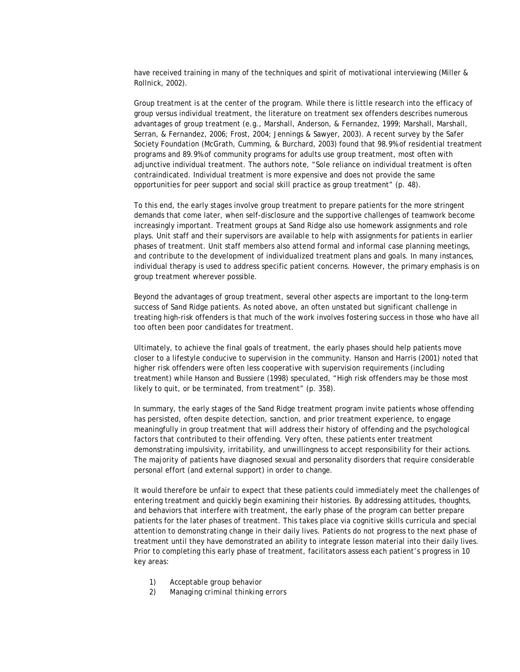have received training in many of the techniques and spirit of motivational interviewing (Miller & Rollnick, 2002).

Group treatment is at the center of the program. While there is little research into the efficacy of group versus individual treatment, the literature on treatment sex offenders describes numerous advantages of group treatment (e.g., Marshall, Anderson, & Fernandez, 1999; Marshall, Marshall, Serran, & Fernandez, 2006; Frost, 2004; Jennings & Sawyer, 2003). A recent survey by the Safer Society Foundation (McGrath, Cumming, & Burchard, 2003) found that 98.9% of residential treatment programs and 89.9% of community programs for adults use group treatment, most often with adjunctive individual treatment. The authors note, "Sole reliance on individual treatment is often contraindicated. Individual treatment is more expensive and does not provide the same opportunities for peer support and social skill practice as group treatment" (p. 48).

To this end, the early stages involve group treatment to prepare patients for the more stringent demands that come later, when self-disclosure and the supportive challenges of teamwork become increasingly important. Treatment groups at Sand Ridge also use homework assignments and role plays. Unit staff and their supervisors are available to help with assignments for patients in earlier phases of treatment. Unit staff members also attend formal and informal case planning meetings, and contribute to the development of individualized treatment plans and goals. In many instances, individual therapy is used to address specific patient concerns. However, the primary emphasis is on group treatment wherever possible.

Beyond the advantages of group treatment, several other aspects are important to the long-term success of Sand Ridge patients. As noted above, an often unstated but significant challenge in treating high-risk offenders is that much of the work involves fostering success in those who have all too often been poor candidates for treatment.

Ultimately, to achieve the final goals of treatment, the early phases should help patients move closer to a lifestyle conducive to supervision in the community. Hanson and Harris (2001) noted that higher risk offenders were often less cooperative with supervision requirements (including treatment) while Hanson and Bussiere (1998) speculated, "High risk offenders may be those most likely to quit, or be terminated, from treatment" (p. 358).

In summary, the early stages of the Sand Ridge treatment program invite patients whose offending has persisted, often despite detection, sanction, and prior treatment experience, to engage meaningfully in group treatment that will address their history of offending and the psychological factors that contributed to their offending. Very often, these patients enter treatment demonstrating impulsivity, irritability, and unwillingness to accept responsibility for their actions. The majority of patients have diagnosed sexual and personality disorders that require considerable personal effort (and external support) in order to change.

It would therefore be unfair to expect that these patients could immediately meet the challenges of entering treatment and quickly begin examining their histories. By addressing attitudes, thoughts, and behaviors that interfere with treatment, the early phase of the program can better prepare patients for the later phases of treatment. This takes place via cognitive skills curricula and special attention to demonstrating change in their daily lives. Patients do not progress to the next phase of treatment until they have demonstrated an ability to integrate lesson material into their daily lives. Prior to completing this early phase of treatment, facilitators assess each patient's progress in 10 key areas:

- 1) *Acceptable group behavior*
- 2) *Managing criminal thinking errors*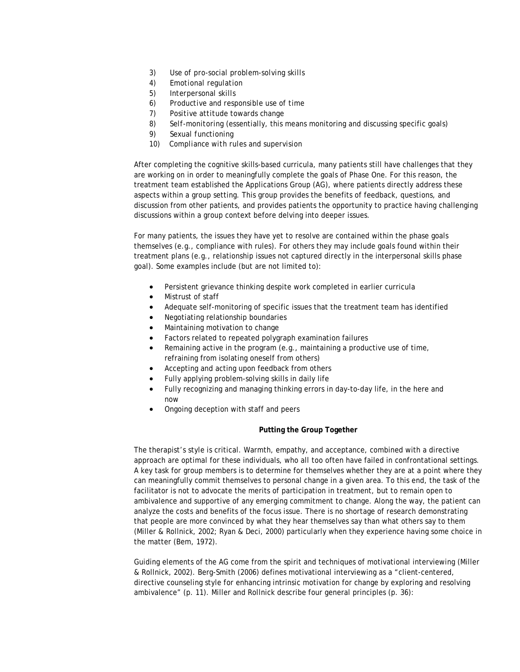- 3) *Use of pro-social problem-solving skills*
- 4) *Emotional regulation*
- 5) *Interpersonal skills*
- 6) *Productive and responsible use of time*
- 7) *Positive attitude towards change*
- *8) Self-monitoring* (essentially, this means monitoring and discussing specific goals)
- *9) Sexual functioning*
- 10) *Compliance with rules and supervision*

After completing the cognitive skills-based curricula, many patients still have challenges that they are working on in order to meaningfully complete the goals of Phase One. For this reason, the treatment team established the Applications Group (AG), where patients directly address these aspects within a group setting. This group provides the benefits of feedback, questions, and discussion from other patients, and provides patients the opportunity to practice having challenging discussions within a group context before delving into deeper issues.

For many patients, the issues they have yet to resolve are contained within the phase goals themselves (e.g., compliance with rules). For others they may include goals found within their treatment plans (e.g., relationship issues not captured directly in the interpersonal skills phase goal). Some examples include (but are not limited to):

- Persistent grievance thinking despite work completed in earlier curricula
- Mistrust of staff
- Adequate self-monitoring of specific issues that the treatment team has identified
- Negotiating relationship boundaries
- Maintaining motivation to change
- Factors related to repeated polygraph examination failures
- Remaining active in the program (e.g., maintaining a productive use of time, refraining from isolating oneself from others)
- Accepting and acting upon feedback from others
- Fully applying problem-solving skills in daily life
- Fully recognizing and managing thinking errors in day-to-day life, in the here and now
- Ongoing deception with staff and peers

# **Putting the Group Together**

The therapist's style is critical. Warmth, empathy, and acceptance, combined with a directive approach are optimal for these individuals, who all too often have failed in confrontational settings. A key task for group members is to determine for themselves whether they are at a point where they can meaningfully commit themselves to personal change in a given area. To this end, the task of the facilitator is not to advocate the merits of participation in treatment, but to remain open to ambivalence and supportive of any emerging commitment to change. Along the way, the patient can analyze the costs and benefits of the focus issue. There is no shortage of research demonstrating that people are more convinced by what they hear themselves say than what others say to them (Miller & Rollnick, 2002; Ryan & Deci, 2000) particularly when they experience having some choice in the matter (Bem, 1972).

Guiding elements of the AG come from the spirit and techniques of motivational interviewing (Miller & Rollnick, 2002). Berg-Smith (2006) defines motivational interviewing as a "client-centered, directive counseling style for enhancing intrinsic motivation for change by exploring and resolving ambivalence" (p. 11). Miller and Rollnick describe four general principles (p. 36):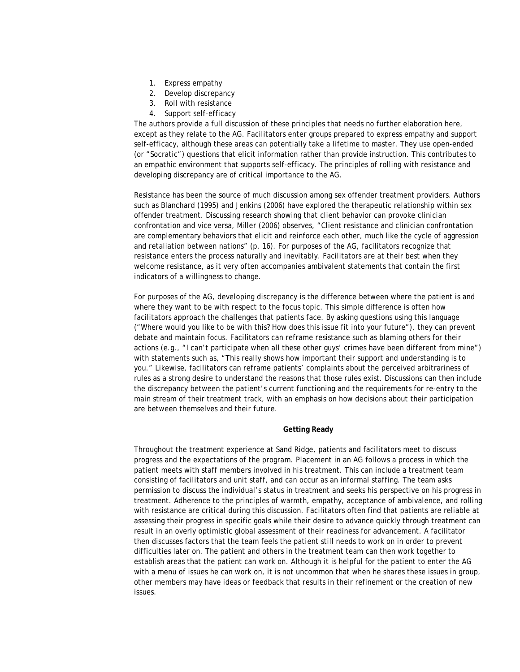- 1. Express empathy
- 2. Develop discrepancy
- 3. Roll with resistance
- 4. Support self-efficacy

The authors provide a full discussion of these principles that needs no further elaboration here, except as they relate to the AG. Facilitators enter groups prepared to express empathy and support self-efficacy, although these areas can potentially take a lifetime to master. They use open-ended (or "Socratic") questions that elicit information rather than provide instruction. This contributes to an empathic environment that supports self-efficacy. The principles of rolling with resistance and developing discrepancy are of critical importance to the AG.

Resistance has been the source of much discussion among sex offender treatment providers. Authors such as Blanchard (1995) and Jenkins (2006) have explored the therapeutic relationship within sex offender treatment. Discussing research showing that client behavior can provoke clinician confrontation and vice versa, Miller (2006) observes, "Client resistance and clinician confrontation are complementary behaviors that elicit and reinforce each other, much like the cycle of aggression and retaliation between nations" (p. 16). For purposes of the AG, facilitators recognize that resistance enters the process naturally and inevitably. Facilitators are at their best when they welcome resistance, as it very often accompanies ambivalent statements that contain the first indicators of a willingness to change.

For purposes of the AG, developing discrepancy is the difference between where the patient is and where they want to be with respect to the focus topic. This simple difference is often how facilitators approach the challenges that patients face. By asking questions using this language ("Where would you like to be with this? How does this issue fit into your future"), they can prevent debate and maintain focus. Facilitators can reframe resistance such as blaming others for their actions (e.g., "I can't participate when all these other guys' crimes have been different from mine") with statements such as, "This really shows how important their support and understanding is to you." Likewise, facilitators can reframe patients' complaints about the perceived arbitrariness of rules as a strong desire to understand the reasons that those rules exist. Discussions can then include the discrepancy between the patient's current functioning and the requirements for re-entry to the main stream of their treatment track, with an emphasis on how decisions about their participation are between themselves and their future.

## **Getting Ready**

Throughout the treatment experience at Sand Ridge, patients and facilitators meet to discuss progress and the expectations of the program. Placement in an AG follows a process in which the patient meets with staff members involved in his treatment. This can include a treatment team consisting of facilitators and unit staff, and can occur as an informal staffing. The team asks permission to discuss the individual's status in treatment and seeks his perspective on his progress in treatment. Adherence to the principles of warmth, empathy, acceptance of ambivalence, and rolling with resistance are critical during this discussion. Facilitators often find that patients are reliable at assessing their progress in specific goals while their desire to advance quickly through treatment can result in an overly optimistic global assessment of their readiness for advancement. A facilitator then discusses factors that the team feels the patient still needs to work on in order to prevent difficulties later on. The patient and others in the treatment team can then work together to establish areas that the patient can work on. Although it is helpful for the patient to enter the AG with a menu of issues he can work on, it is not uncommon that when he shares these issues in group, other members may have ideas or feedback that results in their refinement or the creation of new issues.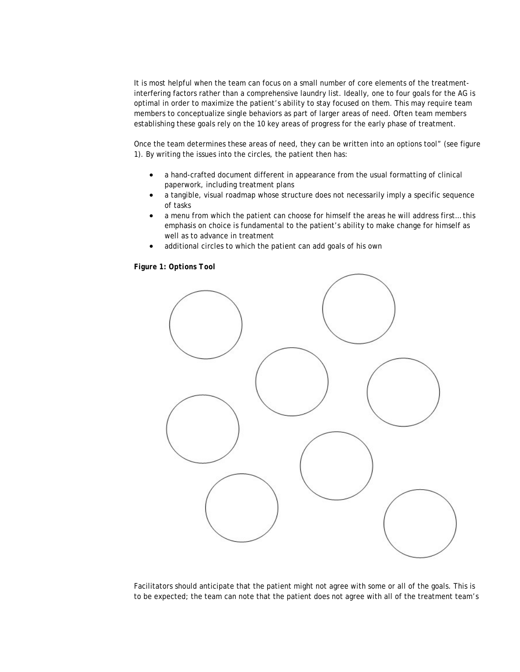It is most helpful when the team can focus on a small number of core elements of the treatmentinterfering factors rather than a comprehensive laundry list. Ideally, one to four goals for the AG is optimal in order to maximize the patient's ability to stay focused on them. This may require team members to conceptualize single behaviors as part of larger areas of need. Often team members establishing these goals rely on the 10 key areas of progress for the early phase of treatment.

Once the team determines these areas of need, they can be written into an options tool" (see figure 1). By writing the issues into the circles, the patient then has:

- a hand-crafted document different in appearance from the usual formatting of clinical paperwork, including treatment plans
- a tangible, visual roadmap whose structure does not necessarily imply a specific sequence of tasks
- a menu from which the patient can choose for himself the areas he will address first... this emphasis on choice is fundamental to the patient's ability to make change for himself as well as to advance in treatment
- additional circles to which the patient can add goals of his own

*Figure 1: Options Tool* 



Facilitators should anticipate that the patient might not agree with some or all of the goals. This is to be expected; the team can note that the patient does not agree with all of the treatment team's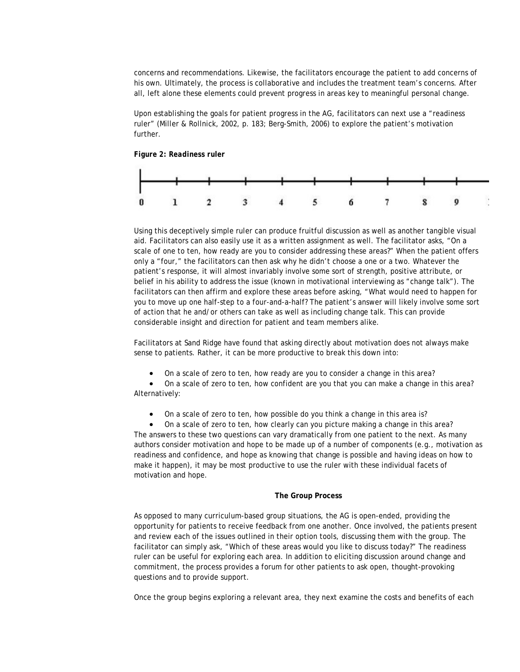concerns and recommendations. Likewise, the facilitators encourage the patient to add concerns of his own. Ultimately, the process is collaborative and includes the treatment team's concerns. After all, left alone these elements could prevent progress in areas key to meaningful personal change.

Upon establishing the goals for patient progress in the AG, facilitators can next use a "readiness ruler" (Miller & Rollnick, 2002, p. 183; Berg-Smith, 2006) to explore the patient's motivation further.

*Figure 2: Readiness ruler*



Using this deceptively simple ruler can produce fruitful discussion as well as another tangible visual aid. Facilitators can also easily use it as a written assignment as well. The facilitator asks, "On a scale of one to ten, how ready are you to consider addressing these areas?" When the patient offers only a "four," the facilitators can then ask why he didn't choose a one or a two. Whatever the patient's response, it will almost invariably involve some sort of strength, positive attribute, or belief in his ability to address the issue (known in motivational interviewing as "change talk"). The facilitators can then affirm and explore these areas before asking, "What would need to happen for you to move up one half-step to a four-and-a-half? The patient's answer will likely involve some sort of action that he and/or others can take as well as including change talk. This can provide considerable insight and direction for patient and team members alike.

Facilitators at Sand Ridge have found that asking directly about motivation does not always make sense to patients. Rather, it can be more productive to break this down into:

• On a scale of zero to ten, how ready are you to consider a change in this area?

• On a scale of zero to ten, how confident are you that you can make a change in this area? Alternatively:

• On a scale of zero to ten, how possible do you think a change in this area is?

On a scale of zero to ten, how clearly can you picture making a change in this area? The answers to these two questions can vary dramatically from one patient to the next. As many authors consider motivation and hope to be made up of a number of components (e.g., motivation as readiness and confidence, and hope as knowing that change is possible and having ideas on how to make it happen), it may be most productive to use the ruler with these individual facets of motivation and hope.

#### **The Group Process**

As opposed to many curriculum-based group situations, the AG is open-ended, providing the opportunity for patients to receive feedback from one another. Once involved, the patients present and review each of the issues outlined in their option tools, discussing them with the group. The facilitator can simply ask, "Which of these areas would you like to discuss today?" The readiness ruler can be useful for exploring each area. In addition to eliciting discussion around change and commitment, the process provides a forum for other patients to ask open, thought-provoking questions and to provide support.

Once the group begins exploring a relevant area, they next examine the costs and benefits of each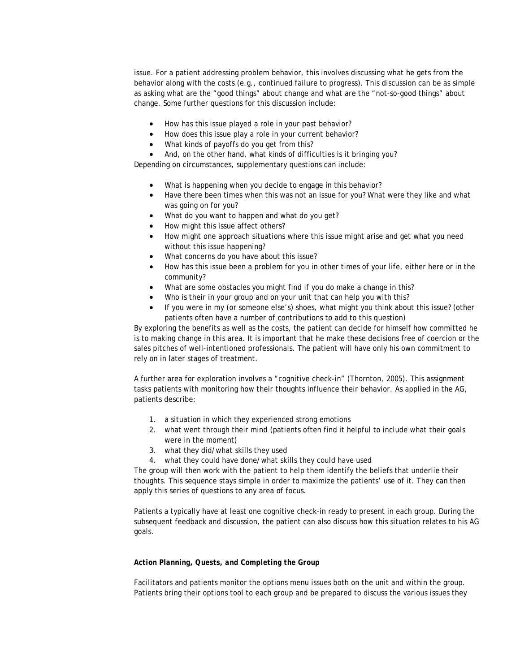issue. For a patient addressing problem behavior, this involves discussing what he gets from the behavior along with the costs (e.g., continued failure to progress). This discussion can be as simple as asking what are the "good things" about change and what are the "not-so-good things" about change. Some further questions for this discussion include:

- How has this issue played a role in your past behavior?
- How does this issue play a role in your current behavior?
- What kinds of payoffs do you get from this?
- And, on the other hand, what kinds of difficulties is it bringing you?

Depending on circumstances, supplementary questions can include:

- What is happening when you decide to engage in this behavior?
- Have there been times when this was not an issue for you? What were they like and what was going on for you?
- What do you want to happen and what do you get?
- How might this issue affect others?
- How might one approach situations where this issue might arise and get what you need without this issue happening?
- What concerns do you have about this issue?
- How has this issue been a problem for you in other times of your life, either here or in the community?
- What are some obstacles you might find if you do make a change in this?
- Who is their in your group and on your unit that can help you with this?
- If you were in my (or someone else's) shoes, what might you think about this issue? (other patients often have a number of contributions to add to this question)

By exploring the benefits as well as the costs, the patient can decide for himself how committed he is to making change in this area. It is important that he make these decisions free of coercion or the sales pitches of well-intentioned professionals. The patient will have only his own commitment to rely on in later stages of treatment.

A further area for exploration involves a "cognitive check-in" (Thornton, 2005). This assignment tasks patients with monitoring how their thoughts influence their behavior. As applied in the AG, patients describe:

- 1. a situation in which they experienced strong emotions
- 2. what went through their mind (patients often find it helpful to include what their goals were in the moment)
- 3. what they did/what skills they used
- 4. what they could have done/what skills they could have used

The group will then work with the patient to help them identify the beliefs that underlie their thoughts. This sequence stays simple in order to maximize the patients' use of it. They can then apply this series of questions to any area of focus.

Patients a typically have at least one cognitive check-in ready to present in each group. During the subsequent feedback and discussion, the patient can also discuss how this situation relates to his AG goals.

## *Action Planning, Quests, and Completing the Group*

Facilitators and patients monitor the options menu issues both on the unit and within the group. Patients bring their options tool to each group and be prepared to discuss the various issues they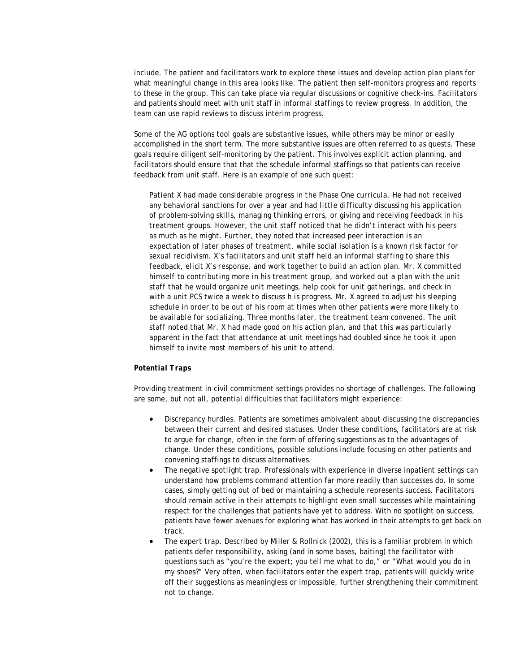include. The patient and facilitators work to explore these issues and develop action plan plans for what meaningful change in this area looks like. The patient then self-monitors progress and reports to these in the group. This can take place via regular discussions or cognitive check-ins. Facilitators and patients should meet with unit staff in informal staffings to review progress. In addition, the team can use rapid reviews to discuss interim progress.

Some of the AG options tool goals are substantive issues, while others may be minor or easily accomplished in the short term. The more substantive issues are often referred to as *quests.* These goals require diligent self-monitoring by the patient. This involves explicit action planning, and facilitators should ensure that that the schedule informal staffings so that patients can receive feedback from unit staff. Here is an example of one such quest:

*Patient X had made considerable progress in the Phase One curricula. He had not received any behavioral sanctions for over a year and had little difficulty discussing his application of problem-solving skills, managing thinking errors, or giving and receiving feedback in his treatment groups. However, the unit staff noticed that he didn't interact with his peers as much as he might. Further, they noted that increased peer interaction is an expectation of later phases of treatment, while social isolation is a known risk factor for sexual recidivism. X's facilitators and unit staff held an informal staffing to share this feedback, elicit X's response, and work together to build an action plan. Mr. X committed himself to contributing more in his treatment group, and worked out a plan with the unit staff that he would organize unit meetings, help cook for unit gatherings, and check in with a unit PCS twice a week to discuss h is progress. Mr. X agreed to adjust his sleeping schedule in order to be out of his room at times when other patients were more likely to be available for socializing. Three months later, the treatment team convened. The unit staff noted that Mr. X had made good on his action plan, and that this was particularly apparent in the fact that attendance at unit meetings had doubled since he took it upon himself to invite most members of his unit to attend.*

## *Potential Traps*

Providing treatment in civil commitment settings provides no shortage of challenges. The following are some, but not all, potential difficulties that facilitators might experience:

- *Discrepancy hurdles.* Patients are sometimes ambivalent about discussing the discrepancies between their current and desired statuses. Under these conditions, facilitators are at risk to argue for change, often in the form of offering suggestions as to the advantages of change. Under these conditions, possible solutions include focusing on other patients and convening staffings to discuss alternatives.
- *The negative spotlight trap*. Professionals with experience in diverse inpatient settings can understand how problems command attention far more readily than successes do. In some cases, simply getting out of bed or maintaining a schedule represents success. Facilitators should remain active in their attempts to highlight even small successes while maintaining respect for the challenges that patients have yet to address. With no spotlight on success, patients have fewer avenues for exploring what has worked in their attempts to get back on track.
- *The expert trap*. Described by Miller & Rollnick (2002), this is a familiar problem in which patients defer responsibility, asking (and in some bases, baiting) the facilitator with questions such as "you're the expert; you tell me what to do," or "What would you do in my shoes?" Very often, when facilitators enter the expert trap, patients will quickly write off their suggestions as meaningless or impossible, further strengthening their commitment not to change.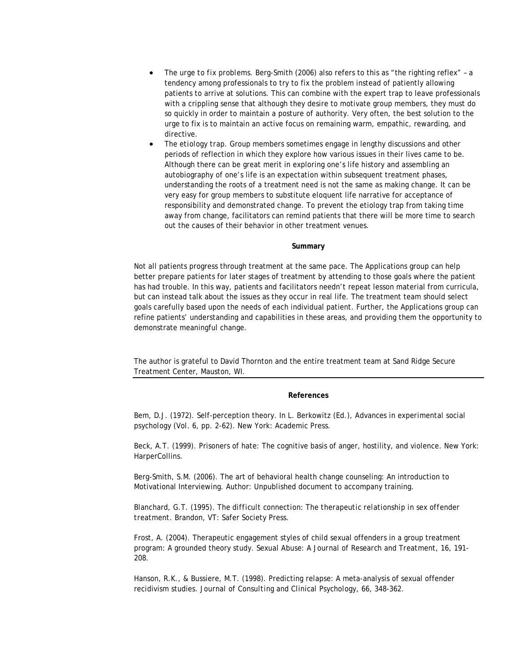- *The urge to fix problems.* Berg-Smith (2006) also refers to this as "the righting reflex" a tendency among professionals to try to fix the problem instead of patiently allowing patients to arrive at solutions. This can combine with the expert trap to leave professionals with a crippling sense that although they desire to motivate group members, they must do so quickly in order to maintain a posture of authority. Very often, the best solution to the urge to fix is to maintain an active focus on remaining warm, empathic, rewarding, and directive.
- *The etiology trap*. Group members sometimes engage in lengthy discussions and other periods of reflection in which they explore how various issues in their lives came to be. Although there can be great merit in exploring one's life history and assembling an autobiography of one's life is an expectation within subsequent treatment phases, understanding the roots of a treatment need is not the same as making change. It can be very easy for group members to substitute eloquent life narrative for acceptance of responsibility and demonstrated change. To prevent the etiology trap from taking time away from change, facilitators can remind patients that there will be more time to search out the causes of their behavior in other treatment venues.

#### **Summary**

Not all patients progress through treatment at the same pace. The Applications group can help better prepare patients for later stages of treatment by attending to those goals where the patient has had trouble. In this way, patients and facilitators needn't repeat lesson material from curricula, but can instead talk about the issues as they occur in real life. The treatment team should select goals carefully based upon the needs of each individual patient. Further, the Applications group can refine patients' understanding and capabilities in these areas, and providing them the opportunity to demonstrate meaningful change.

The author is grateful to David Thornton and the entire treatment team at Sand Ridge Secure Treatment Center, Mauston, WI.

#### **References**

Bem, D.J. (1972). Self-perception theory. In L. Berkowitz (Ed.), *Advances in experimental social psychology* (Vol. 6, pp. 2-62). New York: Academic Press.

Beck, A.T. (1999). Prisoners of hate: The cognitive basis of anger, hostility, and violence. New York: HarperCollins.

Berg-Smith, S.M. (2006). The art of behavioral health change counseling: An introduction to Motivational Interviewing. Author: Unpublished document to accompany training.

Blanchard, G.T. (1995). *The difficult connection: The therapeutic relationship in sex offender treatment*. Brandon, VT: Safer Society Press.

Frost, A. (2004). Therapeutic engagement styles of child sexual offenders in a group treatment program: A grounded theory study. *Sexual Abuse: A Journal of Research and Treatment, 16*, 191- 208.

Hanson, R.K., & Bussiere, M.T. (1998). Predicting relapse: A meta-analysis of sexual offender recidivism studies. *Journal of Consulting and Clinical Psychology, 66*, 348-362.